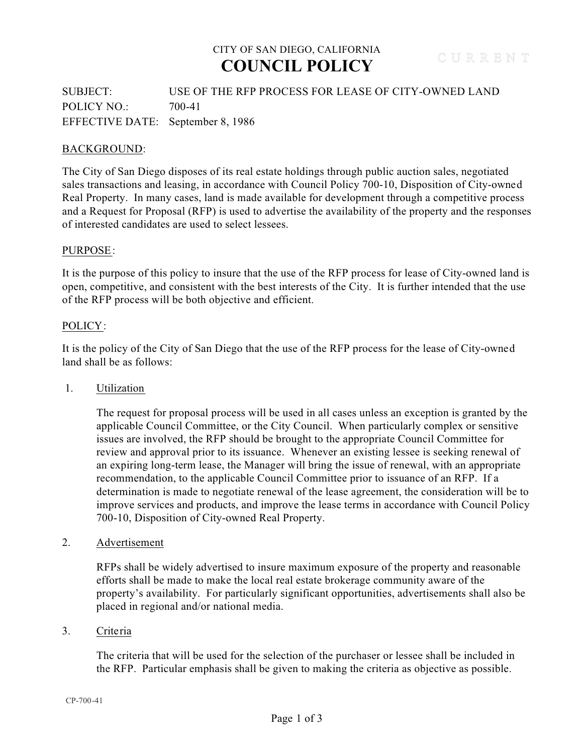## CITY OF SAN DIEGO, CALIFORNIA **COUNCIL POLICY**

SUBJECT: USE OF THE RFP PROCESS FOR LEASE OF CITY-OWNED LAND POLICY NO.: 700-41 EFFECTIVE DATE: September 8, 1986

## BACKGROUND:

The City of San Diego disposes of its real estate holdings through public auction sales, negotiated sales transactions and leasing, in accordance with Council Policy 700-10, Disposition of City-owned Real Property. In many cases, land is made available for development through a competitive process and a Request for Proposal (RFP) is used to advertise the availability of the property and the responses of interested candidates are used to select lessees.

## PURPOSE:

It is the purpose of this policy to insure that the use of the RFP process for lease of City-owned land is open, competitive, and consistent with the best interests of the City. It is further intended that the use of the RFP process will be both objective and efficient.

## POLICY:

It is the policy of the City of San Diego that the use of the RFP process for the lease of City-owned land shall be as follows:

1. Utilization

 The request for proposal process will be used in all cases unless an exception is granted by the applicable Council Committee, or the City Council. When particularly complex or sensitive issues are involved, the RFP should be brought to the appropriate Council Committee for review and approval prior to its issuance. Whenever an existing lessee is seeking renewal of an expiring long-term lease, the Manager will bring the issue of renewal, with an appropriate recommendation, to the applicable Council Committee prior to issuance of an RFP. If a determination is made to negotiate renewal of the lease agreement, the consideration will be to improve services and products, and improve the lease terms in accordance with Council Policy 700-10, Disposition of City-owned Real Property.

2. Advertisement

RFPs shall be widely advertised to insure maximum exposure of the property and reasonable efforts shall be made to make the local real estate brokerage community aware of the property's availability. For particularly significant opportunities, advertisements shall also be placed in regional and/or national media.

## 3. Criteria

The criteria that will be used for the selection of the purchaser or lessee shall be included in the RFP. Particular emphasis shall be given to making the criteria as objective as possible.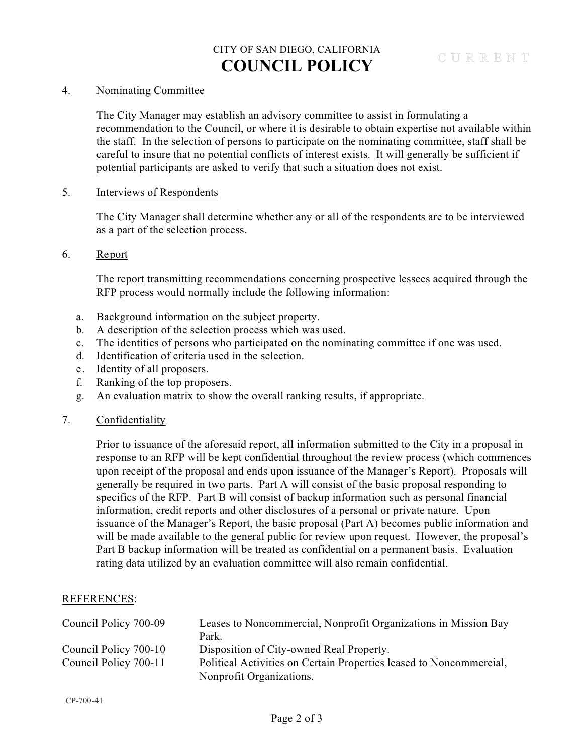## CITY OF SAN DIEGO, CALIFORNIA **COUNCIL POLICY**

## 4. Nominating Committee

The City Manager may establish an advisory committee to assist in formulating a recommendation to the Council, or where it is desirable to obtain expertise not available within the staff. In the selection of persons to participate on the nominating committee, staff shall be careful to insure that no potential conflicts of interest exists. It will generally be sufficient if potential participants are asked to verify that such a situation does not exist.

#### 5. Interviews of Respondents

The City Manager shall determine whether any or all of the respondents are to be interviewed as a part of the selection process.

## 6. Report

The report transmitting recommendations concerning prospective lessees acquired through the RFP process would normally include the following information:

- a. Background information on the subject property.
- b. A description of the selection process which was used.
- c. The identities of persons who participated on the nominating committee if one was used.
- d. Identification of criteria used in the selection.
- e. Identity of all proposers.
- f. Ranking of the top proposers.
- g. An evaluation matrix to show the overall ranking results, if appropriate.

#### 7. Confidentiality

Prior to issuance of the aforesaid report, all information submitted to the City in a proposal in response to an RFP will be kept confidential throughout the review process (which commences upon receipt of the proposal and ends upon issuance of the Manager's Report). Proposals will generally be required in two parts. Part A will consist of the basic proposal responding to specifics of the RFP. Part B will consist of backup information such as personal financial information, credit reports and other disclosures of a personal or private nature. Upon issuance of the Manager's Report, the basic proposal (Part A) becomes public information and will be made available to the general public for review upon request. However, the proposal's Part B backup information will be treated as confidential on a permanent basis. Evaluation rating data utilized by an evaluation committee will also remain confidential.

#### REFERENCES:

| Council Policy 700-09 | Leases to Noncommercial, Nonprofit Organizations in Mission Bay     |
|-----------------------|---------------------------------------------------------------------|
|                       | Park.                                                               |
| Council Policy 700-10 | Disposition of City-owned Real Property.                            |
| Council Policy 700-11 | Political Activities on Certain Properties leased to Noncommercial, |
|                       | Nonprofit Organizations.                                            |